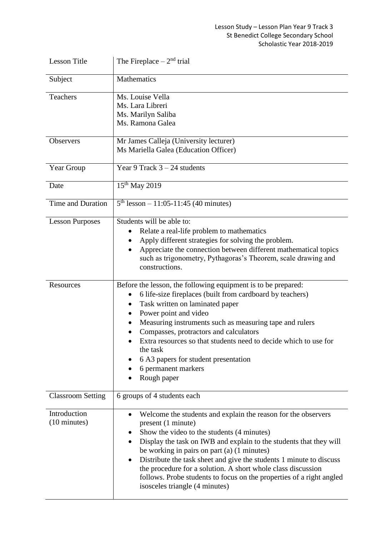## Lesson Study – Lesson Plan Year 9 Track 3 St Benedict College Secondary School Scholastic Year 2018-2019

| <b>Lesson Title</b>                    | The Fireplace $-2nd$ trial                                                                                                                                                                                                                                                                                                                                                                                                                                                                                          |
|----------------------------------------|---------------------------------------------------------------------------------------------------------------------------------------------------------------------------------------------------------------------------------------------------------------------------------------------------------------------------------------------------------------------------------------------------------------------------------------------------------------------------------------------------------------------|
| Subject                                | Mathematics                                                                                                                                                                                                                                                                                                                                                                                                                                                                                                         |
| <b>Teachers</b>                        | Ms. Louise Vella<br>Ms. Lara Libreri<br>Ms. Marilyn Saliba<br>Ms. Ramona Galea                                                                                                                                                                                                                                                                                                                                                                                                                                      |
| <b>Observers</b>                       | Mr James Calleja (University lecturer)<br>Ms Mariella Galea (Education Officer)                                                                                                                                                                                                                                                                                                                                                                                                                                     |
| Year Group                             | Year 9 Track $3 - 24$ students                                                                                                                                                                                                                                                                                                                                                                                                                                                                                      |
| Date                                   | $15^{th}$ May 2019                                                                                                                                                                                                                                                                                                                                                                                                                                                                                                  |
| <b>Time and Duration</b>               | $5th$ lesson – 11:05-11:45 (40 minutes)                                                                                                                                                                                                                                                                                                                                                                                                                                                                             |
| <b>Lesson Purposes</b>                 | Students will be able to:<br>Relate a real-life problem to mathematics<br>Apply different strategies for solving the problem.<br>Appreciate the connection between different mathematical topics<br>such as trigonometry, Pythagoras's Theorem, scale drawing and<br>constructions.                                                                                                                                                                                                                                 |
| Resources                              | Before the lesson, the following equipment is to be prepared:<br>6 life-size fireplaces (built from cardboard by teachers)<br>Task written on laminated paper<br>Power point and video<br>Measuring instruments such as measuring tape and rulers<br>Compasses, protractors and calculators<br>Extra resources so that students need to decide which to use for<br>the task<br>6 A3 papers for student presentation<br>6 permanent markers<br>Rough paper                                                           |
| <b>Classroom Setting</b>               | 6 groups of 4 students each                                                                                                                                                                                                                                                                                                                                                                                                                                                                                         |
| Introduction<br>$(10 \text{ minutes})$ | Welcome the students and explain the reason for the observers<br>٠<br>present (1 minute)<br>Show the video to the students (4 minutes)<br>Display the task on IWB and explain to the students that they will<br>be working in pairs on part $(a)$ (1 minutes)<br>Distribute the task sheet and give the students 1 minute to discuss<br>٠<br>the procedure for a solution. A short whole class discussion<br>follows. Probe students to focus on the properties of a right angled<br>isosceles triangle (4 minutes) |